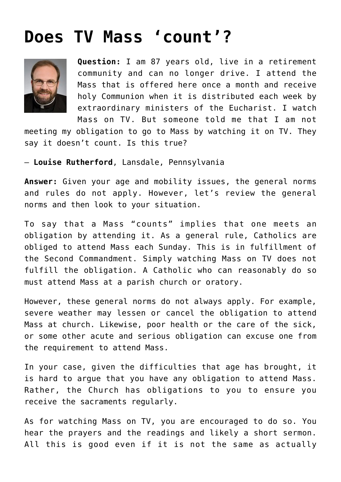## **[Does TV Mass 'count'?](https://www.osvnews.com/amp/2017/01/04/does-tv-mass-count/)**



**Question:** I am 87 years old, live in a retirement community and can no longer drive. I attend the Mass that is offered here once a month and receive holy Communion when it is distributed each week by extraordinary ministers of the Eucharist. I watch Mass on TV. But someone told me that I am not

meeting my obligation to go to Mass by watching it on TV. They say it doesn't count. Is this true?

— **Louise Rutherford**, Lansdale, Pennsylvania

**Answer:** Given your age and mobility issues, the general norms and rules do not apply. However, let's review the general norms and then look to your situation.

To say that a Mass "counts" implies that one meets an obligation by attending it. As a general rule, Catholics are obliged to attend Mass each Sunday. This is in fulfillment of the Second Commandment. Simply watching Mass on TV does not fulfill the obligation. A Catholic who can reasonably do so must attend Mass at a parish church or oratory.

However, these general norms do not always apply. For example, severe weather may lessen or cancel the obligation to attend Mass at church. Likewise, poor health or the care of the sick, or some other acute and serious obligation can excuse one from the requirement to attend Mass.

In your case, given the difficulties that age has brought, it is hard to argue that you have any obligation to attend Mass. Rather, the Church has obligations to you to ensure you receive the sacraments regularly.

As for watching Mass on TV, you are encouraged to do so. You hear the prayers and the readings and likely a short sermon. All this is good even if it is not the same as actually